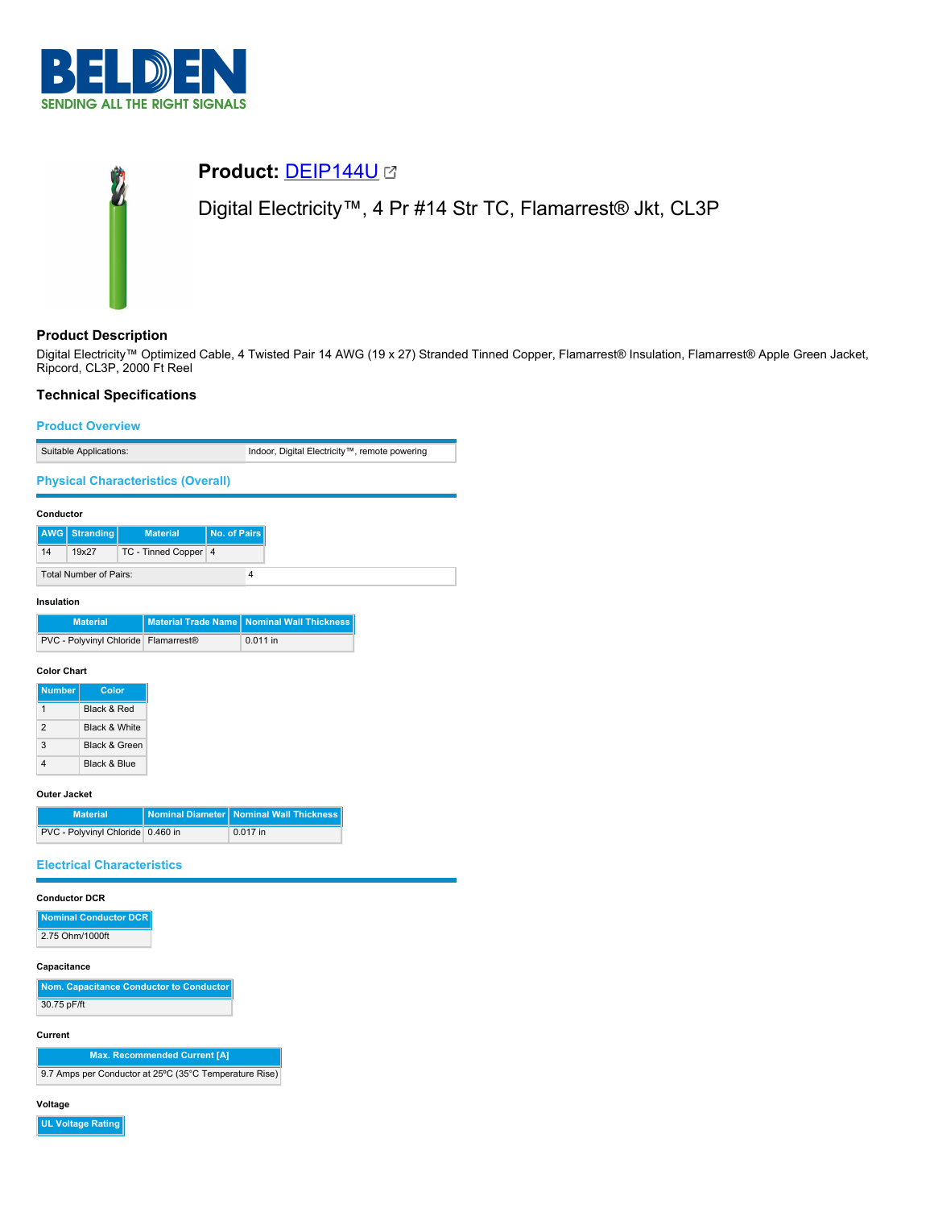

# **Product:** [DEIP144U](https://catalog.belden.com/index.cfm?event=pd&p=PF_DEIP144U&tab=downloads) Digital Electricity™, 4 Pr #14 Str TC, Flamarrest® Jkt, CL3P

# **Product Description**

Digital Electricity™ Optimized Cable, 4 Twisted Pair 14 AWG (19 x 27) Stranded Tinned Copper, Flamarrest® Insulation, Flamarrest® Apple Green Jacket, Ripcord, CL3P, 2000 Ft Reel

# **Technical Specifications**

### **Product Overview**

Suitable Applications: Indoor, Digital Electricity™, remote powering **Physical Characteristics (Overall) Conductor AWG Stranding Material No. of Pairs** 14 19x27 TC - Tinned Copper 4 Total Number of Pairs: 4 **Insulation Material Material Trade Name Nominal Wall Thickness** PVC - Polyvinyl Chloride Flamarrest® 0.011 in

#### **Color Chart**

| <b>Number</b>  | Color                    |
|----------------|--------------------------|
|                | <b>Black &amp; Red</b>   |
| $\mathfrak{p}$ | <b>Black &amp; White</b> |
| 3              | <b>Black &amp; Green</b> |
|                | Black & Blue             |

#### **Outer Jacket**

| <b>Material</b>                   | Nominal Diameter   Nominal Wall Thickness |
|-----------------------------------|-------------------------------------------|
| PVC - Polyvinyl Chloride 0.460 in | $0.017$ in                                |

# **Electrical Characteristics**

#### **Conductor DCR**

**Nominal Conductor DCR** 2.75 Ohm/1000ft

#### **Capacitance**

| Nom. Capacitance Conductor to Conductor |
|-----------------------------------------|
| 30.75 pF/ft                             |

#### **Current**

**Max. Recommended Current [A]** 9.7 Amps per Conductor at 25ºC (35°C Temperature Rise)

#### **Voltage**

**UL Voltage Rating**